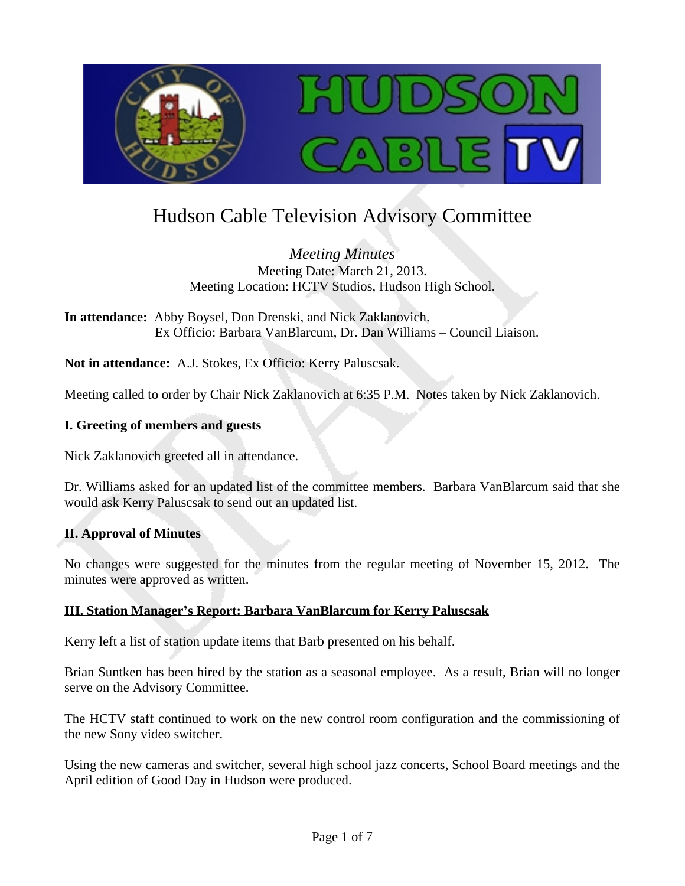

# Hudson Cable Television Advisory Committee

*Meeting Minutes* Meeting Date: March 21, 2013. Meeting Location: HCTV Studios, Hudson High School.

**In attendance:** Abby Boysel, Don Drenski, and Nick Zaklanovich. Ex Officio: Barbara VanBlarcum, Dr. Dan Williams – Council Liaison.

**Not in attendance:** A.J. Stokes, Ex Officio: Kerry Paluscsak.

Meeting called to order by Chair Nick Zaklanovich at 6:35 P.M. Notes taken by Nick Zaklanovich.

## **I. Greeting of members and guests**

Nick Zaklanovich greeted all in attendance.

Dr. Williams asked for an updated list of the committee members. Barbara VanBlarcum said that she would ask Kerry Paluscsak to send out an updated list.

# **II. Approval of Minutes**

No changes were suggested for the minutes from the regular meeting of November 15, 2012. The minutes were approved as written.

## **III. Station Manager's Report: Barbara VanBlarcum for Kerry Paluscsak**

Kerry left a list of station update items that Barb presented on his behalf.

Brian Suntken has been hired by the station as a seasonal employee. As a result, Brian will no longer serve on the Advisory Committee.

The HCTV staff continued to work on the new control room configuration and the commissioning of the new Sony video switcher.

Using the new cameras and switcher, several high school jazz concerts, School Board meetings and the April edition of Good Day in Hudson were produced.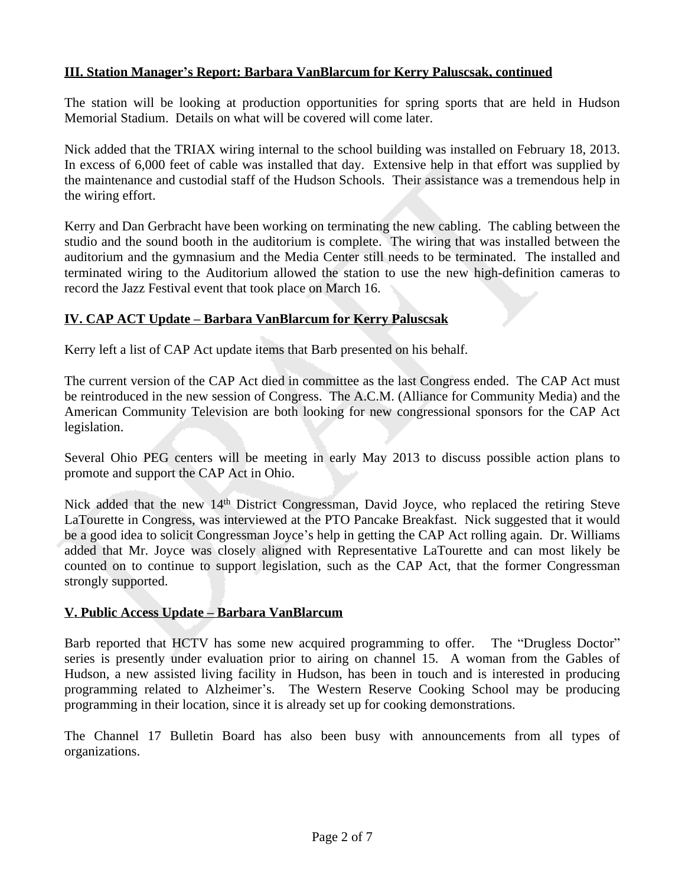## **III. Station Manager's Report: Barbara VanBlarcum for Kerry Paluscsak, continued**

The station will be looking at production opportunities for spring sports that are held in Hudson Memorial Stadium. Details on what will be covered will come later.

Nick added that the TRIAX wiring internal to the school building was installed on February 18, 2013. In excess of 6,000 feet of cable was installed that day. Extensive help in that effort was supplied by the maintenance and custodial staff of the Hudson Schools. Their assistance was a tremendous help in the wiring effort.

Kerry and Dan Gerbracht have been working on terminating the new cabling. The cabling between the studio and the sound booth in the auditorium is complete. The wiring that was installed between the auditorium and the gymnasium and the Media Center still needs to be terminated. The installed and terminated wiring to the Auditorium allowed the station to use the new high-definition cameras to record the Jazz Festival event that took place on March 16.

## **IV. CAP ACT Update – Barbara VanBlarcum for Kerry Paluscsak**

Kerry left a list of CAP Act update items that Barb presented on his behalf.

The current version of the CAP Act died in committee as the last Congress ended. The CAP Act must be reintroduced in the new session of Congress. The A.C.M. (Alliance for Community Media) and the American Community Television are both looking for new congressional sponsors for the CAP Act legislation.

Several Ohio PEG centers will be meeting in early May 2013 to discuss possible action plans to promote and support the CAP Act in Ohio.

Nick added that the new 14<sup>th</sup> District Congressman, David Joyce, who replaced the retiring Steve LaTourette in Congress, was interviewed at the PTO Pancake Breakfast. Nick suggested that it would be a good idea to solicit Congressman Joyce's help in getting the CAP Act rolling again. Dr. Williams added that Mr. Joyce was closely aligned with Representative LaTourette and can most likely be counted on to continue to support legislation, such as the CAP Act, that the former Congressman strongly supported.

## **V. Public Access Update – Barbara VanBlarcum**

Barb reported that HCTV has some new acquired programming to offer. The "Drugless Doctor" series is presently under evaluation prior to airing on channel 15. A woman from the Gables of Hudson, a new assisted living facility in Hudson, has been in touch and is interested in producing programming related to Alzheimer's. The Western Reserve Cooking School may be producing programming in their location, since it is already set up for cooking demonstrations.

The Channel 17 Bulletin Board has also been busy with announcements from all types of organizations.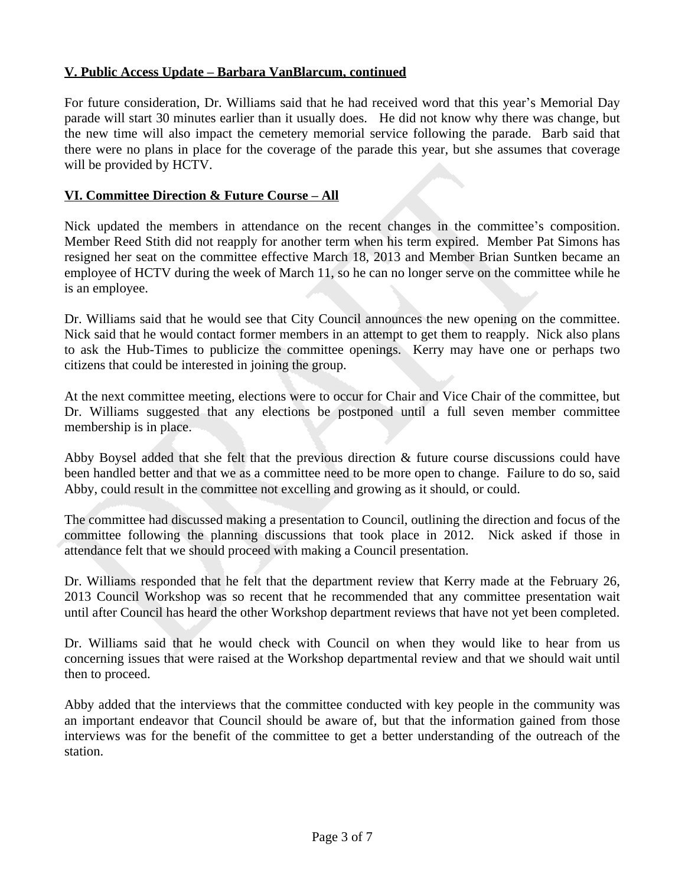## **V. Public Access Update – Barbara VanBlarcum, continued**

For future consideration, Dr. Williams said that he had received word that this year's Memorial Day parade will start 30 minutes earlier than it usually does. He did not know why there was change, but the new time will also impact the cemetery memorial service following the parade. Barb said that there were no plans in place for the coverage of the parade this year, but she assumes that coverage will be provided by HCTV.

#### **VI. Committee Direction & Future Course – All**

Nick updated the members in attendance on the recent changes in the committee's composition. Member Reed Stith did not reapply for another term when his term expired. Member Pat Simons has resigned her seat on the committee effective March 18, 2013 and Member Brian Suntken became an employee of HCTV during the week of March 11, so he can no longer serve on the committee while he is an employee.

Dr. Williams said that he would see that City Council announces the new opening on the committee. Nick said that he would contact former members in an attempt to get them to reapply. Nick also plans to ask the Hub-Times to publicize the committee openings. Kerry may have one or perhaps two citizens that could be interested in joining the group.

At the next committee meeting, elections were to occur for Chair and Vice Chair of the committee, but Dr. Williams suggested that any elections be postponed until a full seven member committee membership is in place.

Abby Boysel added that she felt that the previous direction & future course discussions could have been handled better and that we as a committee need to be more open to change. Failure to do so, said Abby, could result in the committee not excelling and growing as it should, or could.

The committee had discussed making a presentation to Council, outlining the direction and focus of the committee following the planning discussions that took place in 2012. Nick asked if those in attendance felt that we should proceed with making a Council presentation.

Dr. Williams responded that he felt that the department review that Kerry made at the February 26, 2013 Council Workshop was so recent that he recommended that any committee presentation wait until after Council has heard the other Workshop department reviews that have not yet been completed.

Dr. Williams said that he would check with Council on when they would like to hear from us concerning issues that were raised at the Workshop departmental review and that we should wait until then to proceed.

Abby added that the interviews that the committee conducted with key people in the community was an important endeavor that Council should be aware of, but that the information gained from those interviews was for the benefit of the committee to get a better understanding of the outreach of the station.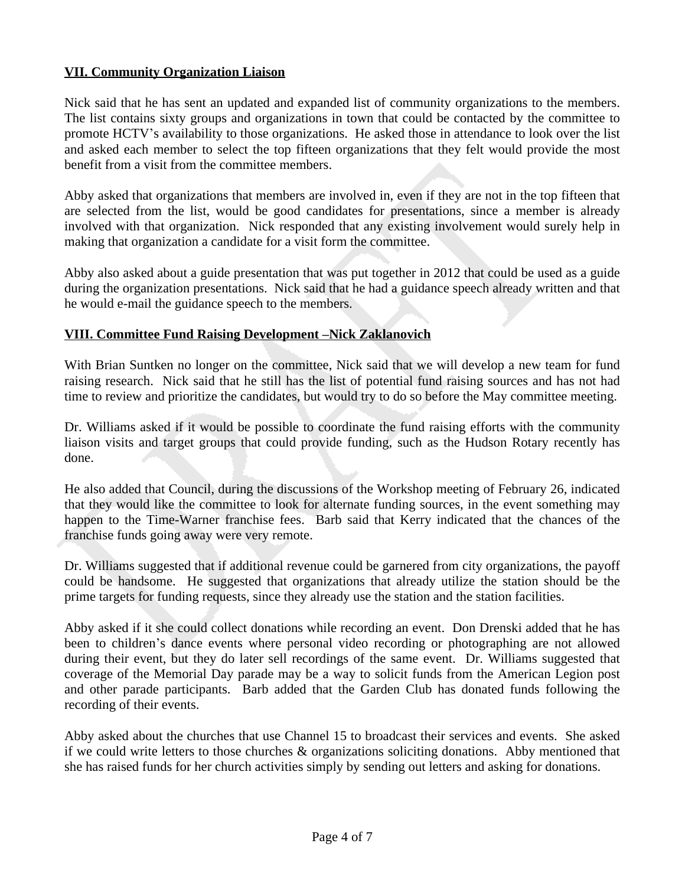## **VII. Community Organization Liaison**

Nick said that he has sent an updated and expanded list of community organizations to the members. The list contains sixty groups and organizations in town that could be contacted by the committee to promote HCTV's availability to those organizations. He asked those in attendance to look over the list and asked each member to select the top fifteen organizations that they felt would provide the most benefit from a visit from the committee members.

Abby asked that organizations that members are involved in, even if they are not in the top fifteen that are selected from the list, would be good candidates for presentations, since a member is already involved with that organization. Nick responded that any existing involvement would surely help in making that organization a candidate for a visit form the committee.

Abby also asked about a guide presentation that was put together in 2012 that could be used as a guide during the organization presentations. Nick said that he had a guidance speech already written and that he would e-mail the guidance speech to the members.

## **VIII. Committee Fund Raising Development –Nick Zaklanovich**

With Brian Suntken no longer on the committee, Nick said that we will develop a new team for fund raising research. Nick said that he still has the list of potential fund raising sources and has not had time to review and prioritize the candidates, but would try to do so before the May committee meeting.

Dr. Williams asked if it would be possible to coordinate the fund raising efforts with the community liaison visits and target groups that could provide funding, such as the Hudson Rotary recently has done.

He also added that Council, during the discussions of the Workshop meeting of February 26, indicated that they would like the committee to look for alternate funding sources, in the event something may happen to the Time-Warner franchise fees. Barb said that Kerry indicated that the chances of the franchise funds going away were very remote.

Dr. Williams suggested that if additional revenue could be garnered from city organizations, the payoff could be handsome. He suggested that organizations that already utilize the station should be the prime targets for funding requests, since they already use the station and the station facilities.

Abby asked if it she could collect donations while recording an event. Don Drenski added that he has been to children's dance events where personal video recording or photographing are not allowed during their event, but they do later sell recordings of the same event. Dr. Williams suggested that coverage of the Memorial Day parade may be a way to solicit funds from the American Legion post and other parade participants. Barb added that the Garden Club has donated funds following the recording of their events.

Abby asked about the churches that use Channel 15 to broadcast their services and events. She asked if we could write letters to those churches & organizations soliciting donations. Abby mentioned that she has raised funds for her church activities simply by sending out letters and asking for donations.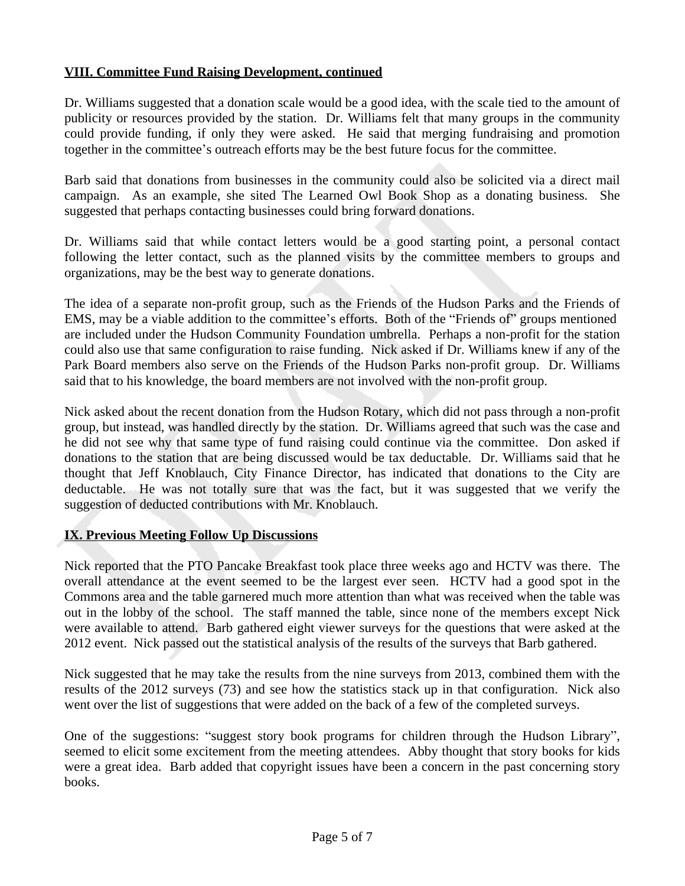# **VIII. Committee Fund Raising Development, continued**

Dr. Williams suggested that a donation scale would be a good idea, with the scale tied to the amount of publicity or resources provided by the station. Dr. Williams felt that many groups in the community could provide funding, if only they were asked. He said that merging fundraising and promotion together in the committee's outreach efforts may be the best future focus for the committee.

Barb said that donations from businesses in the community could also be solicited via a direct mail campaign. As an example, she sited The Learned Owl Book Shop as a donating business. She suggested that perhaps contacting businesses could bring forward donations.

Dr. Williams said that while contact letters would be a good starting point, a personal contact following the letter contact, such as the planned visits by the committee members to groups and organizations, may be the best way to generate donations.

The idea of a separate non-profit group, such as the Friends of the Hudson Parks and the Friends of EMS, may be a viable addition to the committee's efforts. Both of the "Friends of" groups mentioned are included under the Hudson Community Foundation umbrella. Perhaps a non-profit for the station could also use that same configuration to raise funding. Nick asked if Dr. Williams knew if any of the Park Board members also serve on the Friends of the Hudson Parks non-profit group. Dr. Williams said that to his knowledge, the board members are not involved with the non-profit group.

Nick asked about the recent donation from the Hudson Rotary, which did not pass through a non-profit group, but instead, was handled directly by the station. Dr. Williams agreed that such was the case and he did not see why that same type of fund raising could continue via the committee. Don asked if donations to the station that are being discussed would be tax deductable. Dr. Williams said that he thought that Jeff Knoblauch, City Finance Director, has indicated that donations to the City are deductable. He was not totally sure that was the fact, but it was suggested that we verify the suggestion of deducted contributions with Mr. Knoblauch.

## **IX. Previous Meeting Follow Up Discussions**

Nick reported that the PTO Pancake Breakfast took place three weeks ago and HCTV was there. The overall attendance at the event seemed to be the largest ever seen. HCTV had a good spot in the Commons area and the table garnered much more attention than what was received when the table was out in the lobby of the school. The staff manned the table, since none of the members except Nick were available to attend. Barb gathered eight viewer surveys for the questions that were asked at the 2012 event. Nick passed out the statistical analysis of the results of the surveys that Barb gathered.

Nick suggested that he may take the results from the nine surveys from 2013, combined them with the results of the 2012 surveys (73) and see how the statistics stack up in that configuration. Nick also went over the list of suggestions that were added on the back of a few of the completed surveys.

One of the suggestions: "suggest story book programs for children through the Hudson Library", seemed to elicit some excitement from the meeting attendees. Abby thought that story books for kids were a great idea. Barb added that copyright issues have been a concern in the past concerning story books.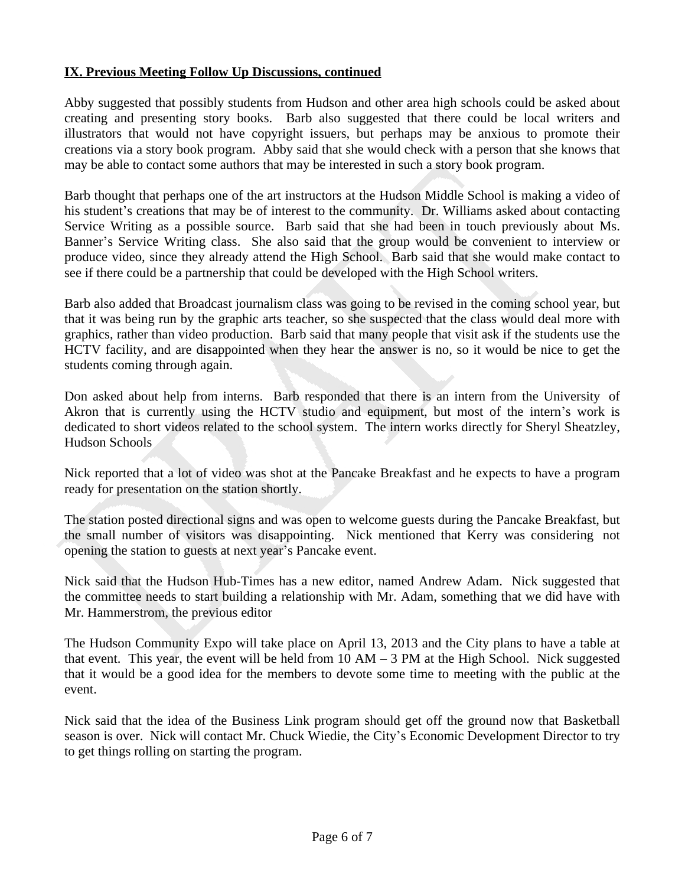## **IX. Previous Meeting Follow Up Discussions, continued**

Abby suggested that possibly students from Hudson and other area high schools could be asked about creating and presenting story books. Barb also suggested that there could be local writers and illustrators that would not have copyright issuers, but perhaps may be anxious to promote their creations via a story book program. Abby said that she would check with a person that she knows that may be able to contact some authors that may be interested in such a story book program.

Barb thought that perhaps one of the art instructors at the Hudson Middle School is making a video of his student's creations that may be of interest to the community. Dr. Williams asked about contacting Service Writing as a possible source. Barb said that she had been in touch previously about Ms. Banner's Service Writing class. She also said that the group would be convenient to interview or produce video, since they already attend the High School. Barb said that she would make contact to see if there could be a partnership that could be developed with the High School writers.

Barb also added that Broadcast journalism class was going to be revised in the coming school year, but that it was being run by the graphic arts teacher, so she suspected that the class would deal more with graphics, rather than video production. Barb said that many people that visit ask if the students use the HCTV facility, and are disappointed when they hear the answer is no, so it would be nice to get the students coming through again.

Don asked about help from interns. Barb responded that there is an intern from the University of Akron that is currently using the HCTV studio and equipment, but most of the intern's work is dedicated to short videos related to the school system. The intern works directly for Sheryl Sheatzley, Hudson Schools

Nick reported that a lot of video was shot at the Pancake Breakfast and he expects to have a program ready for presentation on the station shortly.

The station posted directional signs and was open to welcome guests during the Pancake Breakfast, but the small number of visitors was disappointing. Nick mentioned that Kerry was considering not opening the station to guests at next year's Pancake event.

Nick said that the Hudson Hub-Times has a new editor, named Andrew Adam. Nick suggested that the committee needs to start building a relationship with Mr. Adam, something that we did have with Mr. Hammerstrom, the previous editor

The Hudson Community Expo will take place on April 13, 2013 and the City plans to have a table at that event. This year, the event will be held from  $10 AM - 3 PM$  at the High School. Nick suggested that it would be a good idea for the members to devote some time to meeting with the public at the event.

Nick said that the idea of the Business Link program should get off the ground now that Basketball season is over. Nick will contact Mr. Chuck Wiedie, the City's Economic Development Director to try to get things rolling on starting the program.